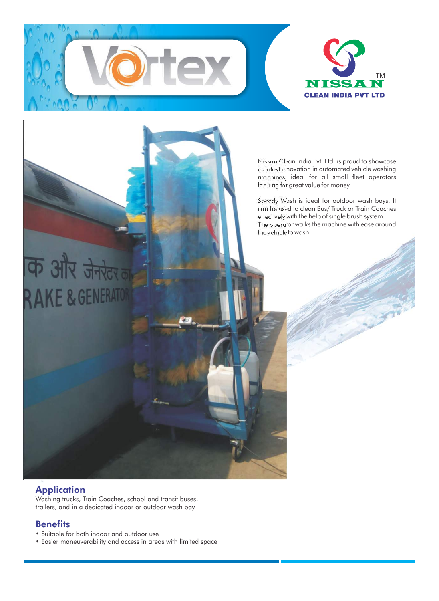

Nissan Clean India Pvt. Ltd. is proud to showcase its latest innovation in automated vehicle washing machines, ideal for all small fleet operators looking for great value for money.

Speedy Wash is ideal for outdoor wash bays. It can be used to clean Bus/ Truck or Train Coaches effectively with the help of single brush system. The operator walks the machine with ease around the vehicle to wash.

# कि और जेनरेटर **RAKE & GENERATO**

## **Application**

Washing trucks, Train Coaches, school and transit buses, trailers, and in a dedicated indoor or outdoor wash bay

### **Benefits**

- Suitable for both indoor and outdoor use
- Easier maneuverability and access in areas with limited space